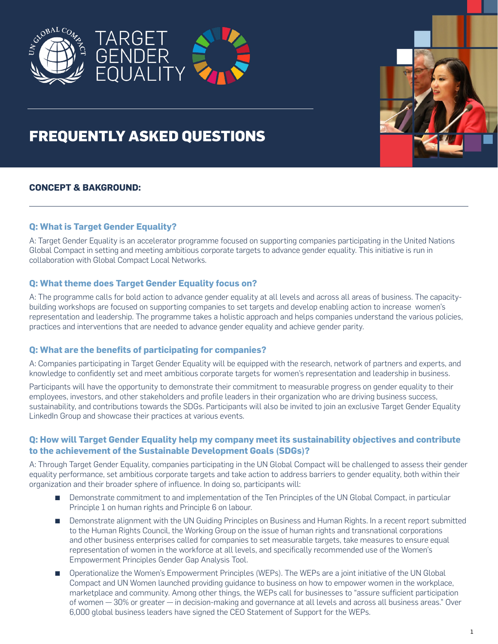





# **FREQUENTLY ASKED QUESTIONS**

# **CONCEPT & BAKGROUND:**

# **Q: What is Target Gender Equality?**

A: Target Gender Equality is an accelerator programme focused on supporting companies participating in the United Nations Global Compact in setting and meeting ambitious corporate targets to advance gender equality. This initiative is run in collaboration with Global Compact Local Networks.

# **Q: What theme does Target Gender Equality focus on?**

A: The programme calls for bold action to advance gender equality at all levels and across all areas of business. The capacitybuilding workshops are focused on supporting companies to set targets and develop enabling action to increase women's representation and leadership. The programme takes a holistic approach and helps companies understand the various policies, practices and interventions that are needed to advance gender equality and achieve gender parity.

## **Q: What are the benefits of participating for companies?**

A: Companies participating in Target Gender Equality will be equipped with the research, network of partners and experts, and knowledge to confidently set and meet ambitious corporate targets for women's representation and leadership in business.

Participants will have the opportunity to demonstrate their commitment to measurable progress on gender equality to their employees, investors, and other stakeholders and profile leaders in their organization who are driving business success, sustainability, and contributions towards the SDGs. Participants will also be invited to join an exclusive Target Gender Equality LinkedIn Group and showcase their practices at various events.

# **Q: How will Target Gender Equality help my company meet its sustainability objectives and contribute to the achievement of the Sustainable Development Goals (SDGs)?**

A: Through Target Gender Equality, companies participating in the UN Global Compact will be challenged to assess their gender equality performance, set ambitious corporate targets and take action to address barriers to gender equality, both within their organization and their broader sphere of influence. In doing so, participants will:

- Demonstrate commitment to and implementation of the Ten Principles of the UN Global Compact, in particular Principle 1 on human rights and Principle 6 on labour.
- **EXECUTE:** Demonstrate alignment with the UN Guiding Principles on Business and Human Rights. In a recent report submitted to the Human Rights Council, the Working Group on the issue of human rights and transnational corporations and other business enterprises called for companies to set measurable targets, take measures to ensure equal representation of women in the workforce at all levels, and specifically recommended use of the Women's Empowerment Principles Gender Gap Analysis Tool.
- **•** Operationalize the Women's Empowerment Principles (WEPs). The WEPs are a joint initiative of the UN Global Compact and UN Women launched providing guidance to business on how to empower women in the workplace, marketplace and community. Among other things, the WEPs call for businesses to "assure sufficient participation of women — 30% or greater — in decision-making and governance at all levels and across all business areas." Over 6,000 global business leaders have signed the CEO Statement of Support for the WEPs.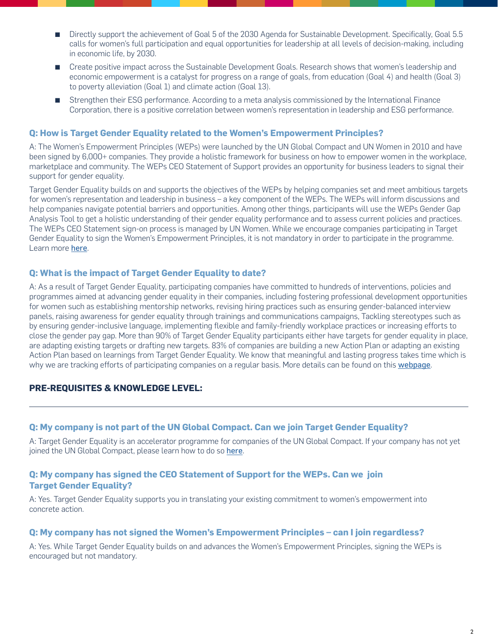- Directly support the achievement of Goal 5 of the 2030 Agenda for Sustainable Development. Specifically, Goal 5.5 calls for women's full participation and equal opportunities for leadership at all levels of decision-making, including in economic life, by 2030.
- **EXP** Create positive impact across the Sustainable Development Goals. Research shows that women's leadership and economic empowerment is a catalyst for progress on a range of goals, from education (Goal 4) and health (Goal 3) to poverty alleviation (Goal 1) and climate action (Goal 13).
- **Example 1** Strengthen their ESG performance. According to a meta analysis commissioned by the International Finance Corporation, there is a positive correlation between women's representation in leadership and ESG performance.

## **Q: How is Target Gender Equality related to the Women's Empowerment Principles?**

A: The Women's Empowerment Principles (WEPs) were launched by the UN Global Compact and UN Women in 2010 and have been signed by 6,000+ companies. They provide a holistic framework for business on how to empower women in the workplace, marketplace and community. The WEPs CEO Statement of Support provides an opportunity for business leaders to signal their support for gender equality.

Target Gender Equality builds on and supports the objectives of the WEPs by helping companies set and meet ambitious targets for women's representation and leadership in business – a key component of the WEPs. The WEPs will inform discussions and help companies navigate potential barriers and opportunities. Among other things, participants will use the WEPs Gender Gap Analysis Tool to get a holistic understanding of their gender equality performance and to assess current policies and practices. The WEPs CEO Statement sign-on process is managed by UN Women. While we encourage companies participating in Target Gender Equality to sign the Women's Empowerment Principles, it is not mandatory in order to participate in the programme. Learn more [here](https://www.unglobalcompact.org/take-action/action/womens-principles).

# **Q: What is the impact of Target Gender Equality to date?**

A: As a result of Target Gender Equality, participating companies have committed to hundreds of interventions, policies and programmes aimed at advancing gender equality in their companies, including fostering professional development opportunities for women such as establishing mentorship networks, revising hiring practices such as ensuring gender-balanced interview panels, raising awareness for gender equality through trainings and communications campaigns, Tackling stereotypes such as by ensuring gender-inclusive language, implementing flexible and family-friendly workplace practices or increasing efforts to close the gender pay gap. More than 90% of Target Gender Equality participants either have targets for gender equality in place, are adapting existing targets or drafting new targets. 83% of companies are building a new Action Plan or adapting an existing Action Plan based on learnings from Target Gender Equality. We know that meaningful and lasting progress takes time which is why we are tracking efforts of participating companies on a regular basis. More details can be found on this [webpage](https://unglobalcompact.org/take-action/target-gender-equality/impact).

# **PRE-REQUISITES & KNOWLEDGE LEVEL:**

## **Q: My company is not part of the UN Global Compact. Can we join Target Gender Equality?**

A: Target Gender Equality is an accelerator programme for companies of the UN Global Compact. If your company has not yet joined the UN Global Compact, please learn how to do so [here](https://www.unglobalcompact.org/take-action/target-gender-equality).

# **Q: My company has signed the CEO Statement of Support for the WEPs. Can we join Target Gender Equality?**

A: Yes. Target Gender Equality supports you in translating your existing commitment to women's empowerment into concrete action.

## **Q: My company has not signed the Women's Empowerment Principles – can I join regardless?**

A: Yes. While Target Gender Equality builds on and advances the Women's Empowerment Principles, signing the WEPs is encouraged but not mandatory.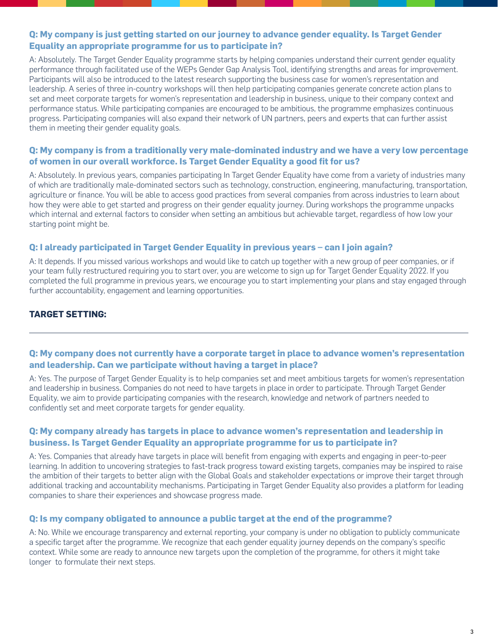# **Q: My company is just getting started on our journey to advance gender equality. Is Target Gender Equality an appropriate programme for us to participate in?**

A: Absolutely. The Target Gender Equality programme starts by helping companies understand their current gender equality performance through facilitated use of the WEPs Gender Gap Analysis Tool, identifying strengths and areas for improvement. Participants will also be introduced to the latest research supporting the business case for women's representation and leadership. A series of three in-country workshops will then help participating companies generate concrete action plans to set and meet corporate targets for women's representation and leadership in business, unique to their company context and performance status. While participating companies are encouraged to be ambitious, the programme emphasizes continuous progress. Participating companies will also expand their network of UN partners, peers and experts that can further assist them in meeting their gender equality goals.

# **Q: My company is from a traditionally very male-dominated industry and we have a very low percentage of women in our overall workforce. Is Target Gender Equality a good fit for us?**

A: Absolutely. In previous years, companies participating In Target Gender Equality have come from a variety of industries many of which are traditionally male-dominated sectors such as technology, construction, engineering, manufacturing, transportation, agriculture or finance. You will be able to access good practices from several companies from across industries to learn about how they were able to get started and progress on their gender equality journey. During workshops the programme unpacks which internal and external factors to consider when setting an ambitious but achievable target, regardless of how low your starting point might be.

# **Q: I already participated in Target Gender Equality in previous years – can I join again?**

A: It depends. If you missed various workshops and would like to catch up together with a new group of peer companies, or if your team fully restructured requiring you to start over, you are welcome to sign up for Target Gender Equality 2022. If you completed the full programme in previous years, we encourage you to start implementing your plans and stay engaged through further accountability, engagement and learning opportunities.

# **TARGET SETTING:**

# **Q: My company does not currently have a corporate target in place to advance women's representation and leadership. Can we participate without having a target in place?**

A: Yes. The purpose of Target Gender Equality is to help companies set and meet ambitious targets for women's representation and leadership in business. Companies do not need to have targets in place in order to participate. Through Target Gender Equality, we aim to provide participating companies with the research, knowledge and network of partners needed to confidently set and meet corporate targets for gender equality.

# **Q: My company already has targets in place to advance women's representation and leadership in business. Is Target Gender Equality an appropriate programme for us to participate in?**

A: Yes. Companies that already have targets in place will benefit from engaging with experts and engaging in peer-to-peer learning. In addition to uncovering strategies to fast-track progress toward existing targets, companies may be inspired to raise the ambition of their targets to better align with the Global Goals and stakeholder expectations or improve their target through additional tracking and accountability mechanisms. Participating in Target Gender Equality also provides a platform for leading companies to share their experiences and showcase progress made.

## **Q: Is my company obligated to announce a public target at the end of the programme?**

A: No. While we encourage transparency and external reporting, your company is under no obligation to publicly communicate a specific target after the programme. We recognize that each gender equality journey depends on the company's specific context. While some are ready to announce new targets upon the completion of the programme, for others it might take longer to formulate their next steps.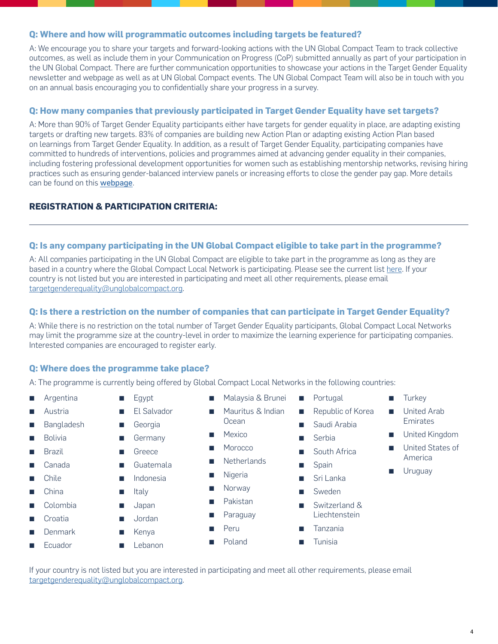## **Q: Where and how will programmatic outcomes including targets be featured?**

A: We encourage you to share your targets and forward-looking actions with the UN Global Compact Team to track collective outcomes, as well as include them in your Communication on Progress (CoP) submitted annually as part of your participation in the UN Global Compact. There are further communication opportunities to showcase your actions in the Target Gender Equality newsletter and webpage as well as at UN Global Compact events. The UN Global Compact Team will also be in touch with you on an annual basis encouraging you to confidentially share your progress in a survey.

# **Q: How many companies that previously participated in Target Gender Equality have set targets?**

A: More than 90% of Target Gender Equality participants either have targets for gender equality in place, are adapting existing targets or drafting new targets. 83% of companies are building new Action Plan or adapting existing Action Plan based on learnings from Target Gender Equality. In addition, as a result of Target Gender Equality, participating companies have committed to hundreds of interventions, policies and programmes aimed at advancing gender equality in their companies, including fostering professional development opportunities for women such as establishing mentorship networks, revising hiring practices such as ensuring gender-balanced interview panels or increasing efforts to close the gender pay gap. More details can be found on this **[webpage](https://unglobalcompact.org/take-action/target-gender-equality/impact)**.

# **REGISTRATION & PARTICIPATION CRITERIA:**

#### **Q: Is any company participating in the UN Global Compact eligible to take part in the programme?**

A: All companies participating in the UN Global Compact are eligible to take part in the programme as long as they are based in a country w[here](https://www.unglobalcompact.org/take-action/target-gender-equality) the Global Compact Local Network is participating. Please see the current list here. If your country is not listed but you are interested in participating and meet all other requirements, please email [targetgenderequality@unglobalcompact.org.](mailto:targetgenderequality%40unglobalcompact.org?subject=)

## **Q: Is there a restriction on the number of companies that can participate in Target Gender Equality?**

A: While there is no restriction on the total number of Target Gender Equality participants, Global Compact Local Networks may limit the programme size at the country-level in order to maximize the learning experience for participating companies. Interested companies are encouraged to register early.

## **Q: Where does the programme take place?**

A: The programme is currently being offered by Global Compact Local Networks in the following countries:

- **R** Argentina
- **Austria**
- **Bangladesh**
- **Bolivia**
- **Brazil**
- Canada
- **Chile**
- **China**
- Colombia
- **Croatia**
- **Denmark**
- **Ecuador**

**Georgia B** Germany

 $\blacksquare$  Egypt

- Greece
- **Guatemala**

**El Salvador** 

- **Indonesia**
- **E** Italy
- 
- Japan
- **Jordan**
- **Kenya**
- **E** Lebanon
- Malaysia & Brunei
- Mauritus & Indian Ocean
- Mexico
- **Morocco**
- **Netherlands**
- Nigeria
- Norway
	- Pakistan
	- Paraguay
- Peru
- Poland
- Portugal
- Republic of Korea
- Saudi Arabia
- $\blacksquare$  Serbia
- South Africa
- Spain
	- Sri Lanka
	- **Sweden**
- Switzerland & Liechtenstein
- **Tanzania**
- **Tunisia**

#### If your country is not listed but you are interested in participating and meet all other requirements, please email [targetgenderequality@unglobalcompact.org.](mailto:targetgenderequality%40unglobalcompact.org?subject=)

**Uruguay** 

America

**Turkey E** United Arab Emirates **E** United Kingdom United States of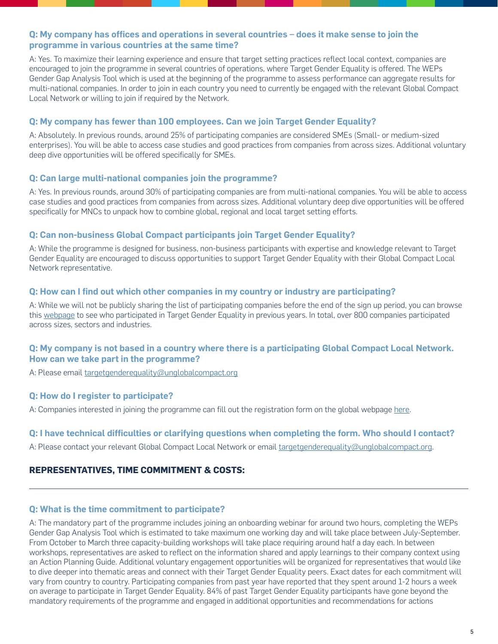# **Q: My company has offices and operations in several countries – does it make sense to join the programme in various countries at the same time?**

A: Yes. To maximize their learning experience and ensure that target setting practices reflect local context, companies are encouraged to join the programme in several countries of operations, where Target Gender Equality is offered. The WEPs Gender Gap Analysis Tool which is used at the beginning of the programme to assess performance can aggregate results for multi-national companies. In order to join in each country you need to currently be engaged with the relevant Global Compact Local Network or willing to join if required by the Network.

## **Q: My company has fewer than 100 employees. Can we join Target Gender Equality?**

A: Absolutely. In previous rounds, around 25% of participating companies are considered SMEs (Small- or medium-sized enterprises). You will be able to access case studies and good practices from companies from across sizes. Additional voluntary deep dive opportunities will be offered specifically for SMEs.

#### **Q: Can large multi-national companies join the programme?**

A: Yes. In previous rounds, around 30% of participating companies are from multi-national companies. You will be able to access case studies and good practices from companies from across sizes. Additional voluntary deep dive opportunities will be offered specifically for MNCs to unpack how to combine global, regional and local target setting efforts.

## **Q: Can non-business Global Compact participants join Target Gender Equality?**

A: While the programme is designed for business, non-business participants with expertise and knowledge relevant to Target Gender Equality are encouraged to discuss opportunities to support Target Gender Equality with their Global Compact Local Network representative.

## **Q: How can I find out which other companies in my country or industry are participating?**

A: While we will not be publicly sharing the list of participating companies before the end of the sign up period, you can browse this [webpage](https://unglobalcompact.org/take-action/target-gender-equality/participation) to see who participated in Target Gender Equality in previous years. In total, over 800 companies participated across sizes, sectors and industries.

# **Q: My company is not based in a country where there is a participating Global Compact Local Network. How can we take part in the programme?**

A: Please email [targetgenderequality@unglobalcompact.org](mailto:targetgenderequality%40unglobalcompact.org?subject=)

## **Q: How do I register to participate?**

A: Companies interested in joining the programme can fill out the registration form on the global webpage [here.](https://unglobalcompact.org/take-action/target-gender-equality/)

## **Q: I have technical difficulties or clarifying questions when completing the form. Who should I contact?**

A: Please contact your relevant Global Compact Local Network or email [targetgenderequality@unglobalcompact.org](mailto:targetgenderequality%40unglobalcompact.org?subject=)[.](mailto:resch@unglobalcompact.org)

## **REPRESENTATIVES, TIME COMMITMENT & COSTS:**

#### **Q: What is the time commitment to participate?**

A: The mandatory part of the programme includes joining an onboarding webinar for around two hours, completing the WEPs Gender Gap Analysis Tool which is estimated to take maximum one working day and will take place between July-September. From October to March three capacity-building workshops will take place requiring around half a day each. In between workshops, representatives are asked to reflect on the information shared and apply learnings to their company context using an Action Planning Guide. Additional voluntary engagement opportunities will be organized for representatives that would like to dive deeper into thematic areas and connect with their Target Gender Equality peers. Exact dates for each commitment will vary from country to country. Participating companies from past year have reported that they spent around 1-2 hours a week on average to participate in Target Gender Equality. 84% of past Target Gender Equality participants have gone beyond the mandatory requirements of the programme and engaged in additional opportunities and recommendations for actions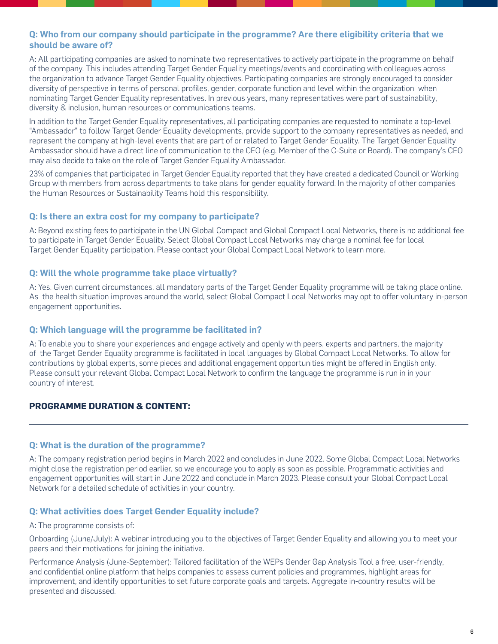# **Q: Who from our company should participate in the programme? Are there eligibility criteria that we should be aware of?**

A: All participating companies are asked to nominate two representatives to actively participate in the programme on behalf of the company. This includes attending Target Gender Equality meetings/events and coordinating with colleagues across the organization to advance Target Gender Equality objectives. Participating companies are strongly encouraged to consider diversity of perspective in terms of personal profiles, gender, corporate function and level within the organization when nominating Target Gender Equality representatives. In previous years, many representatives were part of sustainability, diversity & inclusion, human resources or communications teams.

In addition to the Target Gender Equality representatives, all participating companies are requested to nominate a top-level "Ambassador" to follow Target Gender Equality developments, provide support to the company representatives as needed, and represent the company at high-level events that are part of or related to Target Gender Equality. The Target Gender Equality Ambassador should have a direct line of communication to the CEO (e.g. Member of the C-Suite or Board). The company's CEO may also decide to take on the role of Target Gender Equality Ambassador.

23% of companies that participated in Target Gender Equality reported that they have created a dedicated Council or Working Group with members from across departments to take plans for gender equality forward. In the majority of other companies the Human Resources or Sustainability Teams hold this responsibility.

## **Q: Is there an extra cost for my company to participate?**

A: Beyond existing fees to participate in the UN Global Compact and Global Compact Local Networks, there is no additional fee to participate in Target Gender Equality. Select Global Compact Local Networks may charge a nominal fee for local Target Gender Equality participation. Please contact your Global Compact Local Network to learn more.

## **Q: Will the whole programme take place virtually?**

A: Yes. Given current circumstances, all mandatory parts of the Target Gender Equality programme will be taking place online. As the health situation improves around the world, select Global Compact Local Networks may opt to offer voluntary in-person engagement opportunities.

## **Q: Which language will the programme be facilitated in?**

A: To enable you to share your experiences and engage actively and openly with peers, experts and partners, the majority of the Target Gender Equality programme is facilitated in local languages by Global Compact Local Networks. To allow for contributions by global experts, some pieces and additional engagement opportunities might be offered in English only. Please consult your relevant Global Compact Local Network to confirm the language the programme is run in in your country of interest.

## **PROGRAMME DURATION & CONTENT:**

## **Q: What is the duration of the programme?**

A: The company registration period begins in March 2022 and concludes in June 2022. Some Global Compact Local Networks might close the registration period earlier, so we encourage you to apply as soon as possible. Programmatic activities and engagement opportunities will start in June 2022 and conclude in March 2023. Please consult your Global Compact Local Network for a detailed schedule of activities in your country.

## **Q: What activities does Target Gender Equality include?**

#### A: The programme consists of:

Onboarding (June/July): A webinar introducing you to the objectives of Target Gender Equality and allowing you to meet your peers and their motivations for joining the initiative.

Performance Analysis (June-September): Tailored facilitation of the WEPs Gender Gap Analysis Tool a free, user-friendly, and confidential online platform that helps companies to assess current policies and programmes, highlight areas for improvement, and identify opportunities to set future corporate goals and targets. Aggregate in-country results will be presented and discussed.